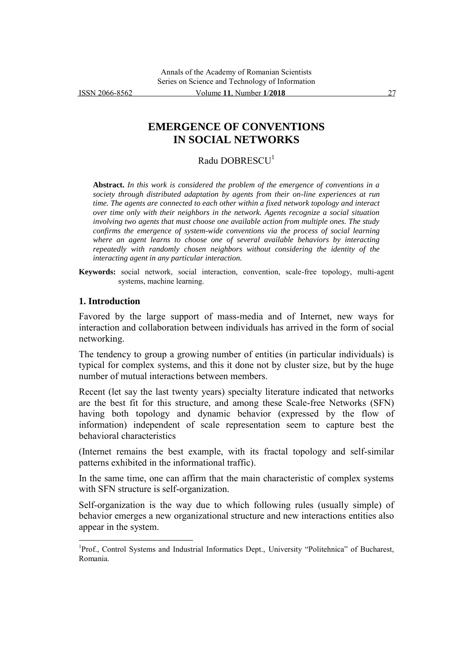ISSN 2066-8562 Volume **11**, Number **1**/**2018** 27

# **EMERGENCE OF CONVENTIONS IN SOCIAL NETWORKS**

# Radu DOBRESCU<sup>1</sup>

**Abstract.** *In this work is considered the problem of the emergence of conventions in a society through distributed adaptation by agents from their on-line experiences at run time. The agents are connected to each other within a fixed network topology and interact over time only with their neighbors in the network. Agents recognize a social situation involving two agents that must choose one available action from multiple ones. The study confirms the emergence of system-wide conventions via the process of social learning where an agent learns to choose one of several available behaviors by interacting repeatedly with randomly chosen neighbors without considering the identity of the interacting agent in any particular interaction.* 

**Keywords:** social network, social interaction, convention, scale-free topology, multi-agent systems, machine learning.

### **1. Introduction**

 $\overline{a}$ 

Favored by the large support of mass-media and of Internet, new ways for interaction and collaboration between individuals has arrived in the form of social networking.

The tendency to group a growing number of entities (in particular individuals) is typical for complex systems, and this it done not by cluster size, but by the huge number of mutual interactions between members.

Recent (let say the last twenty years) specialty literature indicated that networks are the best fit for this structure, and among these Scale-free Networks (SFN) having both topology and dynamic behavior (expressed by the flow of information) independent of scale representation seem to capture best the behavioral characteristics

(Internet remains the best example, with its fractal topology and self-similar patterns exhibited in the informational traffic).

In the same time, one can affirm that the main characteristic of complex systems with SFN structure is self-organization.

Self-organization is the way due to which following rules (usually simple) of behavior emerges a new organizational structure and new interactions entities also appear in the system.

<sup>&</sup>lt;sup>1</sup>Prof., Control Systems and Industrial Informatics Dept., University "Politehnica" of Bucharest, Romania.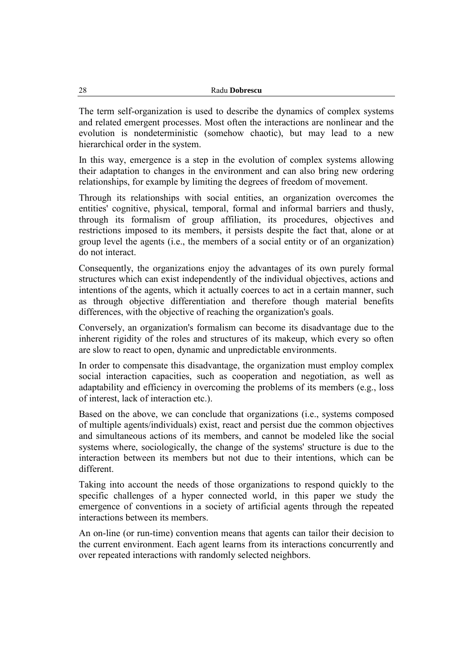The term self-organization is used to describe the dynamics of complex systems and related emergent processes. Most often the interactions are nonlinear and the evolution is nondeterministic (somehow chaotic), but may lead to a new hierarchical order in the system.

In this way, emergence is a step in the evolution of complex systems allowing their adaptation to changes in the environment and can also bring new ordering relationships, for example by limiting the degrees of freedom of movement.

Through its relationships with social entities, an organization overcomes the entities' cognitive, physical, temporal, formal and informal barriers and thusly, through its formalism of group affiliation, its procedures, objectives and restrictions imposed to its members, it persists despite the fact that, alone or at group level the agents (i.e., the members of a social entity or of an organization) do not interact.

Consequently, the organizations enjoy the advantages of its own purely formal structures which can exist independently of the individual objectives, actions and intentions of the agents, which it actually coerces to act in a certain manner, such as through objective differentiation and therefore though material benefits differences, with the objective of reaching the organization's goals.

Conversely, an organization's formalism can become its disadvantage due to the inherent rigidity of the roles and structures of its makeup, which every so often are slow to react to open, dynamic and unpredictable environments.

In order to compensate this disadvantage, the organization must employ complex social interaction capacities, such as cooperation and negotiation, as well as adaptability and efficiency in overcoming the problems of its members (e.g., loss of interest, lack of interaction etc.).

Based on the above, we can conclude that organizations (i.e., systems composed of multiple agents/individuals) exist, react and persist due the common objectives and simultaneous actions of its members, and cannot be modeled like the social systems where, sociologically, the change of the systems' structure is due to the interaction between its members but not due to their intentions, which can be different.

Taking into account the needs of those organizations to respond quickly to the specific challenges of a hyper connected world, in this paper we study the emergence of conventions in a society of artificial agents through the repeated interactions between its members.

An on-line (or run-time) convention means that agents can tailor their decision to the current environment. Each agent learns from its interactions concurrently and over repeated interactions with randomly selected neighbors.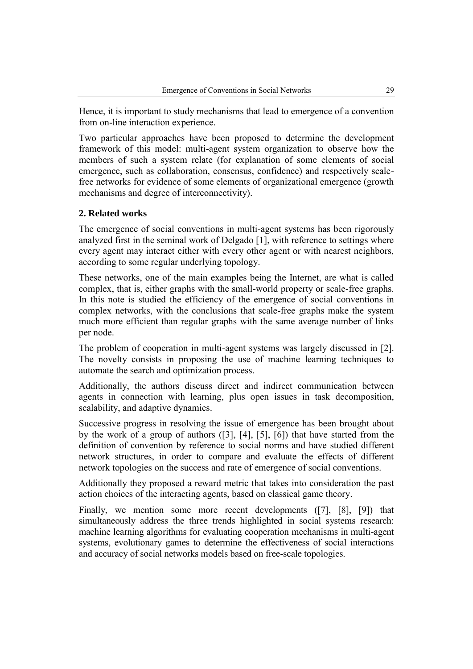Hence, it is important to study mechanisms that lead to emergence of a convention from on-line interaction experience.

Two particular approaches have been proposed to determine the development framework of this model: multi-agent system organization to observe how the members of such a system relate (for explanation of some elements of social emergence, such as collaboration, consensus, confidence) and respectively scalefree networks for evidence of some elements of organizational emergence (growth mechanisms and degree of interconnectivity).

### **2. Related works**

The emergence of social conventions in multi-agent systems has been rigorously analyzed first in the seminal work of Delgado [1], with reference to settings where every agent may interact either with every other agent or with nearest neighbors, according to some regular underlying topology.

These networks, one of the main examples being the Internet, are what is called complex, that is, either graphs with the small-world property or scale-free graphs. In this note is studied the efficiency of the emergence of social conventions in complex networks, with the conclusions that scale-free graphs make the system much more efficient than regular graphs with the same average number of links per node.

The problem of cooperation in multi-agent systems was largely discussed in [2]. The novelty consists in proposing the use of machine learning techniques to automate the search and optimization process.

Additionally, the authors discuss direct and indirect communication between agents in connection with learning, plus open issues in task decomposition, scalability, and adaptive dynamics.

Successive progress in resolving the issue of emergence has been brought about by the work of a group of authors ([3], [4], [5], [6]) that have started from the definition of convention by reference to social norms and have studied different network structures, in order to compare and evaluate the effects of different network topologies on the success and rate of emergence of social conventions.

Additionally they proposed a reward metric that takes into consideration the past action choices of the interacting agents, based on classical game theory.

Finally, we mention some more recent developments ([7], [8], [9]) that simultaneously address the three trends highlighted in social systems research: machine learning algorithms for evaluating cooperation mechanisms in multi-agent systems, evolutionary games to determine the effectiveness of social interactions and accuracy of social networks models based on free-scale topologies.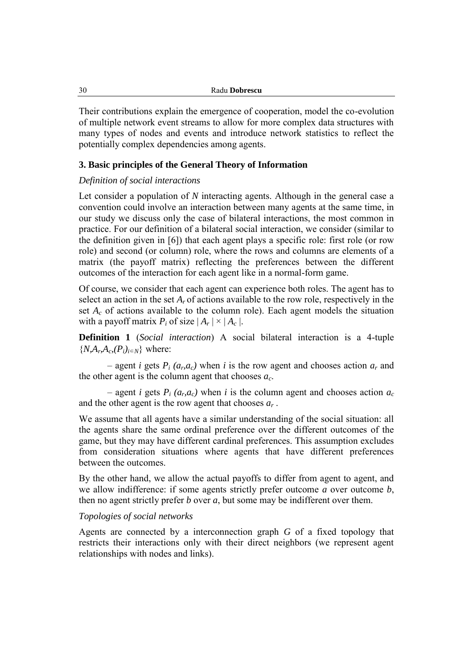Their contributions explain the emergence of cooperation, model the co-evolution of multiple network event streams to allow for more complex data structures with many types of nodes and events and introduce network statistics to reflect the potentially complex dependencies among agents.

# **3. Basic principles of the General Theory of Information**

### *Definition of social interactions*

Let consider a population of *N* interacting agents. Although in the general case a convention could involve an interaction between many agents at the same time, in our study we discuss only the case of bilateral interactions, the most common in practice. For our definition of a bilateral social interaction, we consider (similar to the definition given in [6]) that each agent plays a specific role: first role (or row role) and second (or column) role, where the rows and columns are elements of a matrix (the payoff matrix) reflecting the preferences between the different outcomes of the interaction for each agent like in a normal-form game.

Of course, we consider that each agent can experience both roles. The agent has to select an action in the set  $A_r$  of actions available to the row role, respectively in the set  $A_c$  of actions available to the column role). Each agent models the situation with a payoff matrix  $P_i$  of size  $|A_r| \times |A_c|$ .

**Definition 1** (*Social interaction*) A social bilateral interaction is a 4-tuple  ${N, A_r, A_c, (P_i)_{i \in N}}$  where:

 $-$  agent *i* gets  $P_i$  ( $a_r$ , $a_c$ ) when *i* is the row agent and chooses action  $a_r$  and the other agent is the column agent that chooses *ac*.

 $-$  agent *i* gets  $P_i$  ( $a_n a_c$ ) when *i* is the column agent and chooses action  $a_c$ and the other agent is the row agent that chooses *a<sup>r</sup>* .

We assume that all agents have a similar understanding of the social situation: all the agents share the same ordinal preference over the different outcomes of the game, but they may have different cardinal preferences. This assumption excludes from consideration situations where agents that have different preferences between the outcomes.

By the other hand, we allow the actual payoffs to differ from agent to agent, and we allow indifference: if some agents strictly prefer outcome *a* over outcome *b*, then no agent strictly prefer *b* over *a*, but some may be indifferent over them.

### *Topologies of social networks*

Agents are connected by a interconnection graph *G* of a fixed topology that restricts their interactions only with their direct neighbors (we represent agent relationships with nodes and links).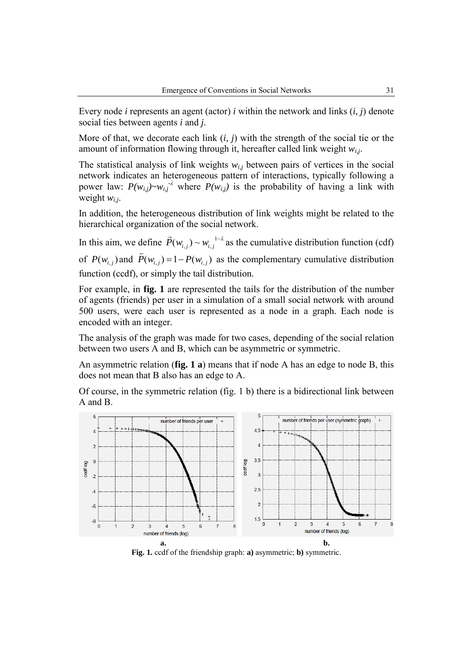Every node *i* represents an agent (actor) *i* within the network and links (*i, j*) denote social ties between agents *i* and *j*.

More of that, we decorate each link (*i, j*) with the strength of the social tie or the amount of information flowing through it, hereafter called link weight *wi,j*.

The statistical analysis of link weights  $w_{i,j}$  between pairs of vertices in the social network indicates an heterogeneous pattern of interactions, typically following a power law:  $P(w_{i,j}) \sim w_{i,j}^{2}$  where  $P(w_{i,j})$  is the probability of having a link with weight *wi,j*.

In addition, the heterogeneous distribution of link weights might be related to the hierarchical organization of the social network.

In this aim, we define  $\vec{P}(w_{i,j}) \sim w_{i,j}^{-1-\lambda}$  $P(w_{i,j}) \sim w_{i,j}$  $\overline{a}$ as the cumulative distribution function (cdf) of  $P(w_{i,j})$  and  $P(w_{i,j}) = 1 - P(w_{i,j})$  $\overline{a}$  as the complementary cumulative distribution function (ccdf), or simply the tail distribution.

For example, in **fig. 1** are represented the tails for the distribution of the number of agents (friends) per user in a simulation of a small social network with around 500 users, were each user is represented as a node in a graph. Each node is encoded with an integer.

The analysis of the graph was made for two cases, depending of the social relation between two users A and B, which can be asymmetric or symmetric.

An asymmetric relation (**fig. 1 a**) means that if node A has an edge to node B, this does not mean that B also has an edge to A.

Of course, in the symmetric relation (fig. 1 b) there is a bidirectional link between A and B.



**Fig. 1.** ccdf of the friendship graph: **a)** asymmetric; **b)** symmetric.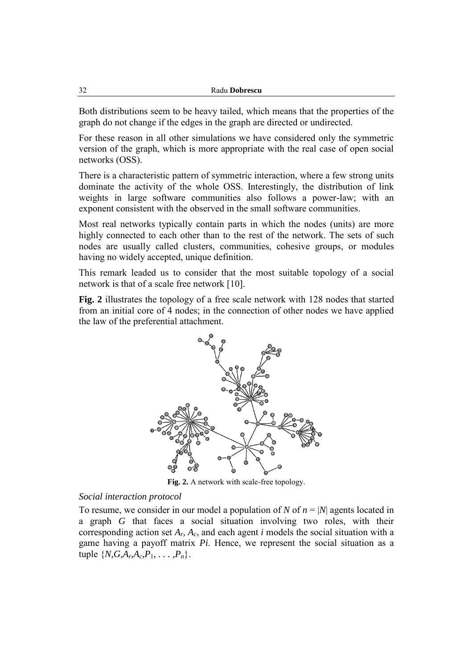Both distributions seem to be heavy tailed, which means that the properties of the graph do not change if the edges in the graph are directed or undirected.

For these reason in all other simulations we have considered only the symmetric version of the graph, which is more appropriate with the real case of open social networks (OSS).

There is a characteristic pattern of symmetric interaction, where a few strong units dominate the activity of the whole OSS. Interestingly, the distribution of link weights in large software communities also follows a power-law; with an exponent consistent with the observed in the small software communities.

Most real networks typically contain parts in which the nodes (units) are more highly connected to each other than to the rest of the network. The sets of such nodes are usually called clusters, communities, cohesive groups, or modules having no widely accepted, unique definition.

This remark leaded us to consider that the most suitable topology of a social network is that of a scale free network [10].

**Fig. 2** illustrates the topology of a free scale network with 128 nodes that started from an initial core of 4 nodes; in the connection of other nodes we have applied the law of the preferential attachment.



**Fig. 2.** A network with scale-free topology.

#### *Social interaction protocol*

To resume, we consider in our model a population of *N* of  $n = |N|$  agents located in a graph *G* that faces a social situation involving two roles, with their corresponding action set *Ar, Ac*, and each agent *i* models the social situation with a game having a payoff matrix *Pi*. Hence, we represent the social situation as a tuple  $\{N, G, A_r, A_c, P_1, \ldots, P_n\}$ .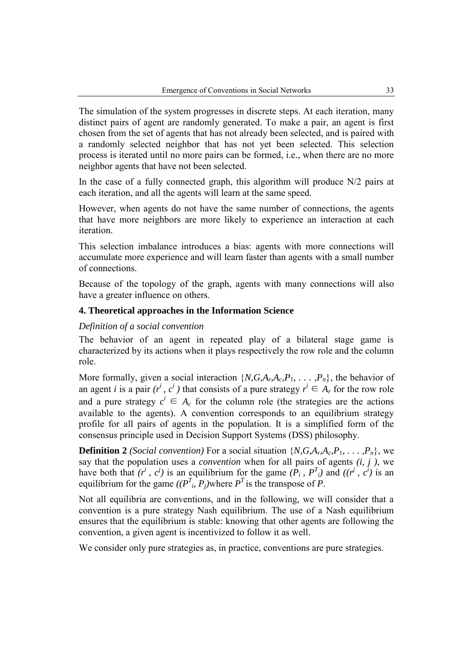The simulation of the system progresses in discrete steps. At each iteration, many distinct pairs of agent are randomly generated. To make a pair, an agent is first chosen from the set of agents that has not already been selected, and is paired with a randomly selected neighbor that has not yet been selected. This selection process is iterated until no more pairs can be formed, i.e., when there are no more neighbor agents that have not been selected.

In the case of a fully connected graph, this algorithm will produce N/2 pairs at each iteration, and all the agents will learn at the same speed.

However, when agents do not have the same number of connections, the agents that have more neighbors are more likely to experience an interaction at each iteration.

This selection imbalance introduces a bias: agents with more connections will accumulate more experience and will learn faster than agents with a small number of connections.

Because of the topology of the graph, agents with many connections will also have a greater influence on others.

# **4. Theoretical approaches in the Information Science**

### *Definition of a social convention*

The behavior of an agent in repeated play of a bilateral stage game is characterized by its actions when it plays respectively the row role and the column role.

More formally, given a social interaction  $\{N, G, A_r, A_c, P_1, \ldots, P_n\}$ , the behavior of an agent *i* is a pair  $(r^i, c^i)$  that consists of a pure strategy  $r^i \in A_r$  for the row role and a pure strategy  $c^i \in A_c$  for the column role (the strategies are the actions available to the agents). A convention corresponds to an equilibrium strategy profile for all pairs of agents in the population. It is a simplified form of the consensus principle used in Decision Support Systems (DSS) philosophy.

**Definition 2** *(Social convention)* For a social situation  $\{N, G, A_r, A_c, P_1, \ldots, P_n\}$ , we say that the population uses a *convention* when for all pairs of agents *(i, j )*, we have both that  $(r^i, c^j)$  is an equilibrium for the game  $(\overline{P}_i, P^T_i)$  and  $((r^i, c^i)$  is an equilibrium for the game  $((P^T, P_j)$ where  $P^T$  is the transpose of *P*.

Not all equilibria are conventions, and in the following, we will consider that a convention is a pure strategy Nash equilibrium. The use of a Nash equilibrium ensures that the equilibrium is stable: knowing that other agents are following the convention, a given agent is incentivized to follow it as well.

We consider only pure strategies as, in practice, conventions are pure strategies.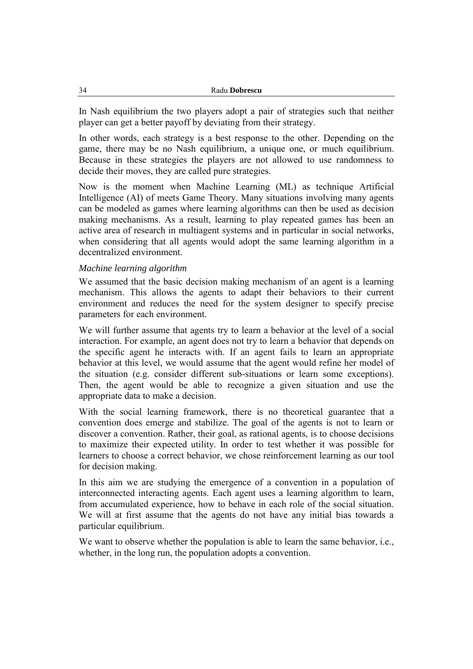In Nash equilibrium the two players adopt a pair of strategies such that neither player can get a better payoff by deviating from their strategy.

In other words, each strategy is a best response to the other. Depending on the game, there may be no Nash equilibrium, a unique one, or much equilibrium. Because in these strategies the players are not allowed to use randomness to decide their moves, they are called pure strategies.

Now is the moment when Machine Learning (ML) as technique Artificial Intelligence (AI) of meets Game Theory. Many situations involving many agents can be modeled as games where learning algorithms can then be used as decision making mechanisms. As a result, learning to play repeated games has been an active area of research in multiagent systems and in particular in social networks, when considering that all agents would adopt the same learning algorithm in a decentralized environment.

### *Machine learning algorithm*

We assumed that the basic decision making mechanism of an agent is a learning mechanism. This allows the agents to adapt their behaviors to their current environment and reduces the need for the system designer to specify precise parameters for each environment.

We will further assume that agents try to learn a behavior at the level of a social interaction. For example, an agent does not try to learn a behavior that depends on the specific agent he interacts with. If an agent fails to learn an appropriate behavior at this level, we would assume that the agent would refine her model of the situation (e.g. consider different sub-situations or learn some exceptions). Then, the agent would be able to recognize a given situation and use the appropriate data to make a decision.

With the social learning framework, there is no theoretical guarantee that a convention does emerge and stabilize. The goal of the agents is not to learn or discover a convention. Rather, their goal, as rational agents, is to choose decisions to maximize their expected utility. In order to test whether it was possible for learners to choose a correct behavior, we chose reinforcement learning as our tool for decision making.

In this aim we are studying the emergence of a convention in a population of interconnected interacting agents. Each agent uses a learning algorithm to learn, from accumulated experience, how to behave in each role of the social situation. We will at first assume that the agents do not have any initial bias towards a particular equilibrium.

We want to observe whether the population is able to learn the same behavior, i.e., whether, in the long run, the population adopts a convention.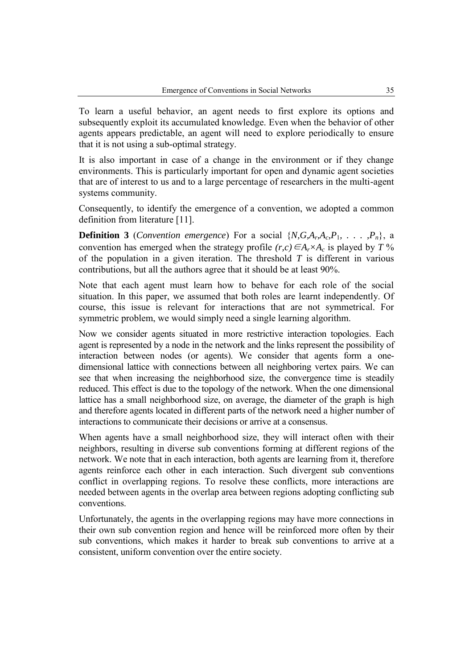To learn a useful behavior, an agent needs to first explore its options and subsequently exploit its accumulated knowledge. Even when the behavior of other agents appears predictable, an agent will need to explore periodically to ensure that it is not using a sub-optimal strategy.

It is also important in case of a change in the environment or if they change environments. This is particularly important for open and dynamic agent societies that are of interest to us and to a large percentage of researchers in the multi-agent systems community.

Consequently, to identify the emergence of a convention, we adopted a common definition from literature [11].

**Definition 3** (*Convention emergence*) For a social  $\{N, G, A_i, A_i, P_1, \ldots, P_n\}$ , a convention has emerged when the strategy profile  $(r, c) \in A_r \times A_c$  is played by *T* % of the population in a given iteration. The threshold *T* is different in various contributions, but all the authors agree that it should be at least 90%.

Note that each agent must learn how to behave for each role of the social situation. In this paper, we assumed that both roles are learnt independently. Of course, this issue is relevant for interactions that are not symmetrical. For symmetric problem, we would simply need a single learning algorithm.

Now we consider agents situated in more restrictive interaction topologies. Each agent is represented by a node in the network and the links represent the possibility of interaction between nodes (or agents). We consider that agents form a onedimensional lattice with connections between all neighboring vertex pairs. We can see that when increasing the neighborhood size, the convergence time is steadily reduced. This effect is due to the topology of the network. When the one dimensional lattice has a small neighborhood size, on average, the diameter of the graph is high and therefore agents located in different parts of the network need a higher number of interactions to communicate their decisions or arrive at a consensus.

When agents have a small neighborhood size, they will interact often with their neighbors, resulting in diverse sub conventions forming at different regions of the network. We note that in each interaction, both agents are learning from it, therefore agents reinforce each other in each interaction. Such divergent sub conventions conflict in overlapping regions. To resolve these conflicts, more interactions are needed between agents in the overlap area between regions adopting conflicting sub conventions.

Unfortunately, the agents in the overlapping regions may have more connections in their own sub convention region and hence will be reinforced more often by their sub conventions, which makes it harder to break sub conventions to arrive at a consistent, uniform convention over the entire society.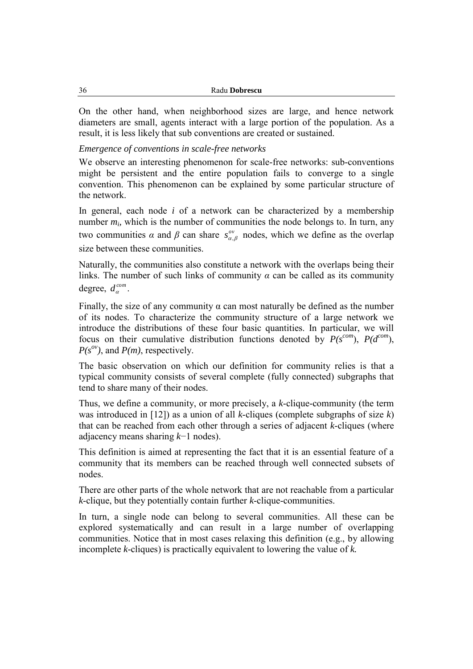On the other hand, when neighborhood sizes are large, and hence network diameters are small, agents interact with a large portion of the population. As a result, it is less likely that sub conventions are created or sustained.

### *Emergence of conventions in scale-free networks*

We observe an interesting phenomenon for scale-free networks: sub-conventions might be persistent and the entire population fails to converge to a single convention. This phenomenon can be explained by some particular structure of the network.

In general, each node *i* of a network can be characterized by a membership number  $m_i$ , which is the number of communities the node belongs to. In turn, any two communities  $\alpha$  and  $\beta$  can share  $s_{\alpha,\beta}^{ov}$  nodes, which we define as the overlap size between these communities.

Naturally, the communities also constitute a network with the overlaps being their links. The number of such links of community  $\alpha$  can be called as its community degree,  $d_{\alpha}^{com}$ .

Finally, the size of any community  $\alpha$  can most naturally be defined as the number of its nodes. To characterize the community structure of a large network we introduce the distributions of these four basic quantities. In particular, we will focus on their cumulative distribution functions denoted by  $P(s^{com})$ ,  $P(d^{com})$ ,  $P(s^{ov})$ , and  $P(m)$ , respectively.

The basic observation on which our definition for community relies is that a typical community consists of several complete (fully connected) subgraphs that tend to share many of their nodes.

Thus, we define a community, or more precisely, a *k*-clique-community (the term was introduced in [12]) as a union of all *k*-cliques (complete subgraphs of size *k*) that can be reached from each other through a series of adjacent *k*-cliques (where adjacency means sharing *k*−1 nodes).

This definition is aimed at representing the fact that it is an essential feature of a community that its members can be reached through well connected subsets of nodes.

There are other parts of the whole network that are not reachable from a particular *k*-clique, but they potentially contain further *k*-clique-communities.

In turn, a single node can belong to several communities. All these can be explored systematically and can result in a large number of overlapping communities. Notice that in most cases relaxing this definition (e.g., by allowing incomplete *k*-cliques) is practically equivalent to lowering the value of *k.*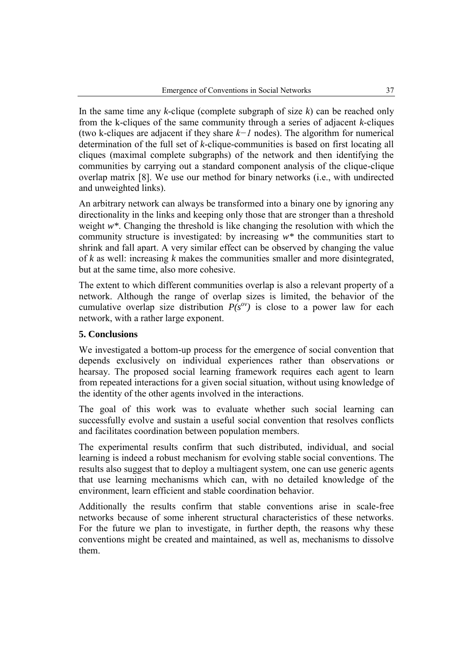In the same time any *k*-clique (complete subgraph of size *k*) can be reached only from the k-cliques of the same community through a series of adjacent *k*-cliques (two k-cliques are adjacent if they share *k−1* nodes). The algorithm for numerical determination of the full set of *k*-clique-communities is based on first locating all cliques (maximal complete subgraphs) of the network and then identifying the communities by carrying out a standard component analysis of the clique-clique overlap matrix [8]. We use our method for binary networks (i.e., with undirected and unweighted links).

An arbitrary network can always be transformed into a binary one by ignoring any directionality in the links and keeping only those that are stronger than a threshold weight *w\**. Changing the threshold is like changing the resolution with which the community structure is investigated: by increasing *w\** the communities start to shrink and fall apart. A very similar effect can be observed by changing the value of *k* as well: increasing *k* makes the communities smaller and more disintegrated, but at the same time, also more cohesive.

The extent to which different communities overlap is also a relevant property of a network. Although the range of overlap sizes is limited, the behavior of the cumulative overlap size distribution  $P(s^{ov})$  is close to a power law for each network, with a rather large exponent.

# **5. Conclusions**

We investigated a bottom-up process for the emergence of social convention that depends exclusively on individual experiences rather than observations or hearsay. The proposed social learning framework requires each agent to learn from repeated interactions for a given social situation, without using knowledge of the identity of the other agents involved in the interactions.

The goal of this work was to evaluate whether such social learning can successfully evolve and sustain a useful social convention that resolves conflicts and facilitates coordination between population members.

The experimental results confirm that such distributed, individual, and social learning is indeed a robust mechanism for evolving stable social conventions. The results also suggest that to deploy a multiagent system, one can use generic agents that use learning mechanisms which can, with no detailed knowledge of the environment, learn efficient and stable coordination behavior.

Additionally the results confirm that stable conventions arise in scale-free networks because of some inherent structural characteristics of these networks. For the future we plan to investigate, in further depth, the reasons why these conventions might be created and maintained, as well as, mechanisms to dissolve them.